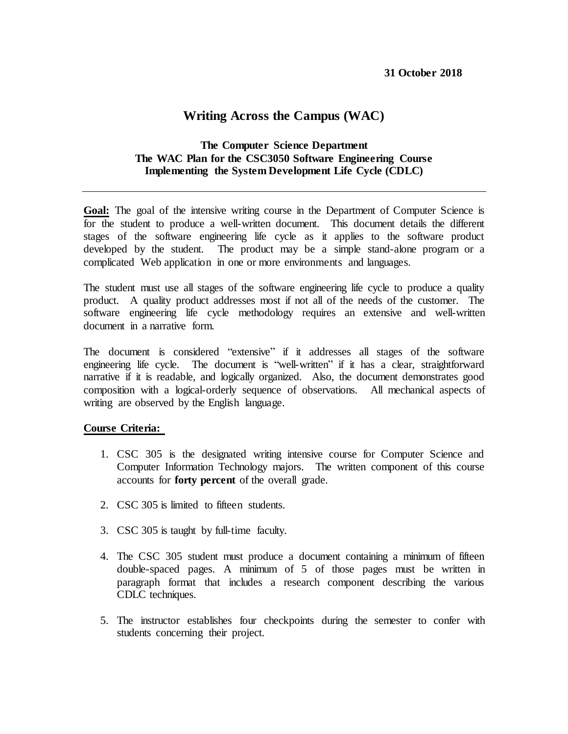# **Writing Across the Campus (WAC)**

# **The Computer Science Department The WAC Plan for the CSC3050 Software Engineering Course Implementing the System Development Life Cycle (CDLC)**

Goal: The goal of the intensive writing course in the Department of Computer Science is for the student to produce a well-written document. This document details the different stages of the software engineering life cycle as it applies to the software product developed by the student. The product may be a simple stand-alone program or a complicated Web application in one or more environments and languages.

The student must use all stages of the software engineering life cycle to produce a quality product. A quality product addresses most if not all of the needs of the customer. The software engineering life cycle methodology requires an extensive and well-written document in a narrative form.

The document is considered "extensive" if it addresses all stages of the software engineering life cycle. The document is "well-written" if it has a clear, straightforward narrative if it is readable, and logically organized. Also, the document demonstrates good composition with a logical-orderly sequence of observations. All mechanical aspects of writing are observed by the English language.

### **Course Criteria:**

- 1. CSC 305 is the designated writing intensive course for Computer Science and Computer Information Technology majors. The written component of this course accounts for **forty percent** of the overall grade.
- 2. CSC 305 is limited to fifteen students.
- 3. CSC 305 is taught by full-time faculty.
- 4. The CSC 305 student must produce a document containing a minimum of fifteen double-spaced pages. A minimum of 5 of those pages must be written in paragraph format that includes a research component describing the various CDLC techniques.
- 5. The instructor establishes four checkpoints during the semester to confer with students concerning their project.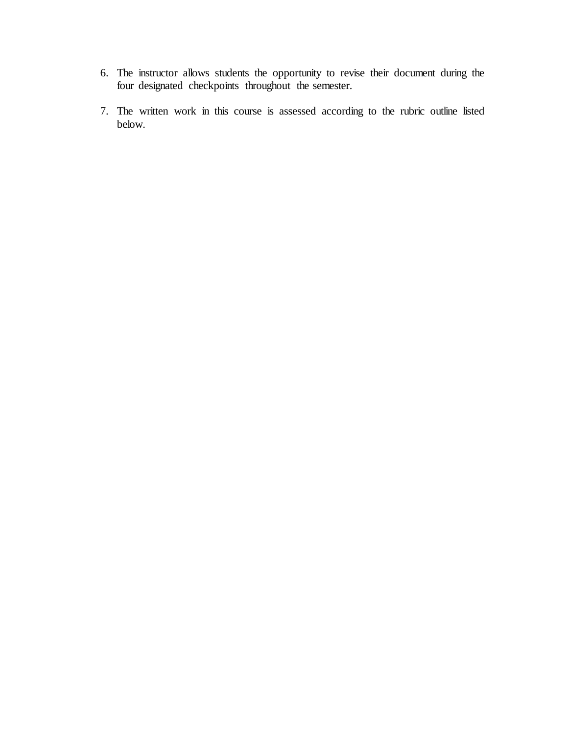- 6. The instructor allows students the opportunity to revise their document during the four designated checkpoints throughout the semester.
- 7. The written work in this course is assessed according to the rubric outline listed below.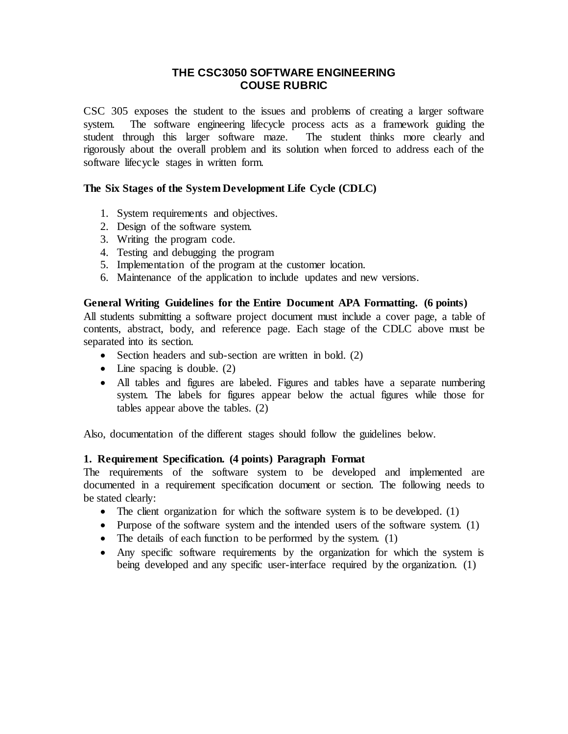# **THE CSC3050 SOFTWARE ENGINEERING COUSE RUBRIC**

CSC 305 exposes the student to the issues and problems of creating a larger software system. The software engineering lifecycle process acts as a framework guiding the student through this larger software maze. The student thinks more clearly and rigorously about the overall problem and its solution when forced to address each of the software lifecycle stages in written form.

# **The Six Stages of the System Development Life Cycle (CDLC)**

- 1. System requirements and objectives.
- 2. Design of the software system.
- 3. Writing the program code.
- 4. Testing and debugging the program
- 5. Implementation of the program at the customer location.
- 6. Maintenance of the application to include updates and new versions.

## **General Writing Guidelines for the Entire Document APA Formatting. (6 points)**

All students submitting a software project document must include a cover page, a table of contents, abstract, body, and reference page. Each stage of the CDLC above must be separated into its section.

- Section headers and sub-section are written in bold. (2)
- $\bullet$  Line spacing is double. (2)
- All tables and figures are labeled. Figures and tables have a separate numbering system. The labels for figures appear below the actual figures while those for tables appear above the tables. (2)

Also, documentation of the different stages should follow the guidelines below.

## **1. Requirement Specification. (4 points) Paragraph Format**

The requirements of the software system to be developed and implemented are documented in a requirement specification document or section. The following needs to be stated clearly:

- The client organization for which the software system is to be developed. (1)
- Purpose of the software system and the intended users of the software system. (1)
- The details of each function to be performed by the system. (1)
- Any specific software requirements by the organization for which the system is being developed and any specific user-interface required by the organization. (1)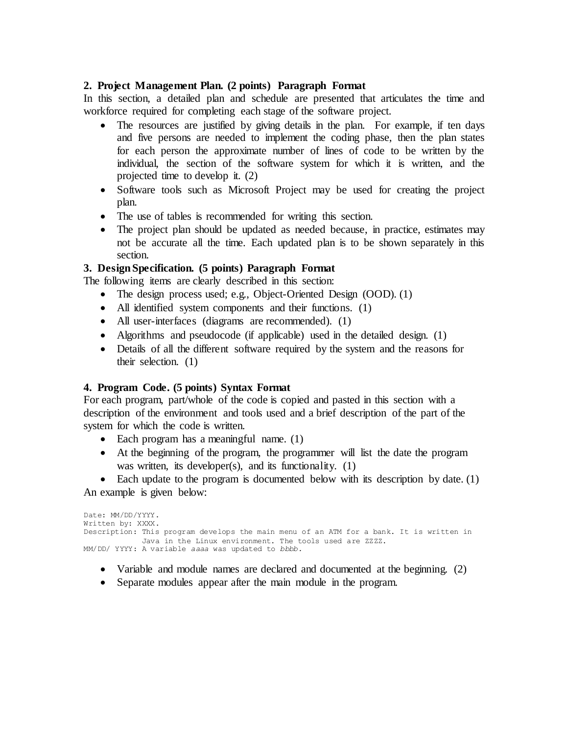## **2. Project Management Plan. (2 points) Paragraph Format**

In this section, a detailed plan and schedule are presented that articulates the time and workforce required for completing each stage of the software project.

- The resources are justified by giving details in the plan. For example, if ten days and five persons are needed to implement the coding phase, then the plan states for each person the approximate number of lines of code to be written by the individual, the section of the software system for which it is written, and the projected time to develop it. (2)
- Software tools such as Microsoft Project may be used for creating the project plan.
- The use of tables is recommended for writing this section.
- The project plan should be updated as needed because, in practice, estimates may not be accurate all the time. Each updated plan is to be shown separately in this section.

# **3. Design Specification. (5 points) Paragraph Format**

The following items are clearly described in this section:

- The design process used; e.g., Object-Oriented Design (OOD). (1)
- All identified system components and their functions. (1)
- All user-interfaces (diagrams are recommended). (1)
- Algorithms and pseudocode (if applicable) used in the detailed design. (1)
- Details of all the different software required by the system and the reasons for their selection. (1)

## **4. Program Code. (5 points) Syntax Format**

For each program, part/whole of the code is copied and pasted in this section with a description of the environment and tools used and a brief description of the part of the system for which the code is written.

- Each program has a meaningful name. (1)
- At the beginning of the program, the programmer will list the date the program was written, its developer(s), and its functionality. (1)

• Each update to the program is documented below with its description by date. (1) An example is given below:

```
Date: MM/DD/YYYY.
Written by: XXXX.
Description: This program develops the main menu of an ATM for a bank. It is written in 
           Java in the Linux environment. The tools used are ZZZZ.
MM/DD/ YYYY: A variable aaaa was updated to bbbb.
```
- Variable and module names are declared and documented at the beginning. (2)
- Separate modules appear after the main module in the program.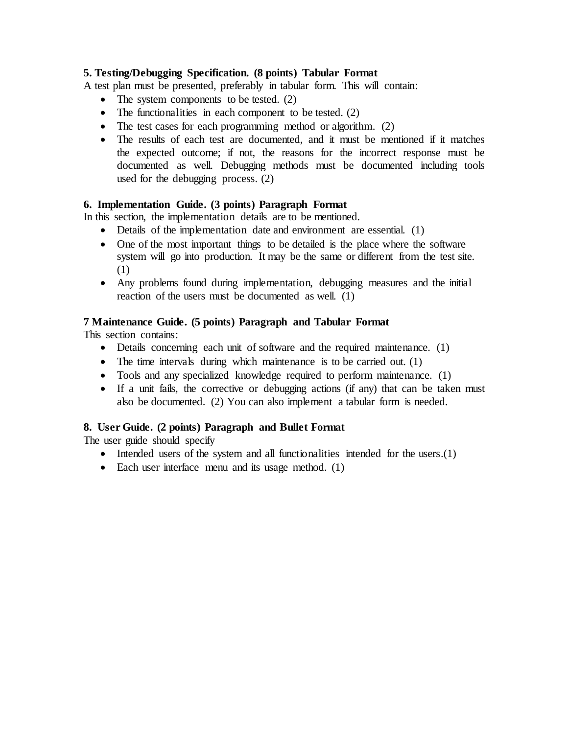# **5. Testing/Debugging Specification. (8 points) Tabular Format**

A test plan must be presented, preferably in tabular form. This will contain:

- $\bullet$  The system components to be tested. (2)
- $\bullet$  The functionalities in each component to be tested. (2)
- The test cases for each programming method or algorithm. (2)
- The results of each test are documented, and it must be mentioned if it matches the expected outcome; if not, the reasons for the incorrect response must be documented as well. Debugging methods must be documented including tools used for the debugging process. (2)

# **6. Implementation Guide. (3 points) Paragraph Format**

In this section, the implementation details are to be mentioned.

- Details of the implementation date and environment are essential. (1)
- One of the most important things to be detailed is the place where the software system will go into production. It may be the same or different from the test site. (1)
- Any problems found during implementation, debugging measures and the initial reaction of the users must be documented as well. (1)

# **7 Maintenance Guide. (5 points) Paragraph and Tabular Format**

This section contains:

- Details concerning each unit of software and the required maintenance. (1)
- The time intervals during which maintenance is to be carried out. (1)
- Tools and any specialized knowledge required to perform maintenance. (1)
- If a unit fails, the corrective or debugging actions (if any) that can be taken must also be documented. (2) You can also implement a tabular form is needed.

# **8. User Guide. (2 points) Paragraph and Bullet Format**

The user guide should specify

- Intended users of the system and all functionalities intended for the users.(1)
- Each user interface menu and its usage method. (1)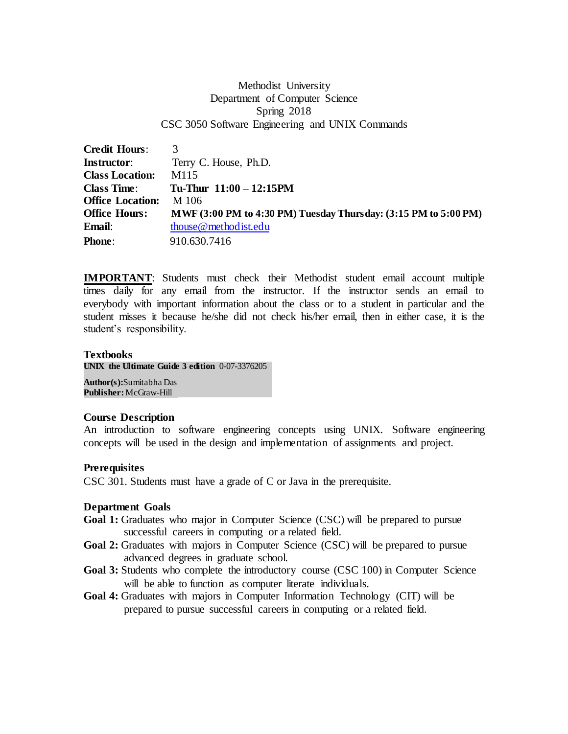# Methodist University Department of Computer Science Spring 2018 CSC 3050 Software Engineering and UNIX Commands

| <b>Credit Hours:</b>    | 3                                                               |
|-------------------------|-----------------------------------------------------------------|
| <b>Instructor:</b>      | Terry C. House, Ph.D.                                           |
| <b>Class Location:</b>  | M <sub>115</sub>                                                |
| <b>Class Time:</b>      | Tu-Thur $11:00 - 12:15$ PM                                      |
| <b>Office Location:</b> | M 106                                                           |
| <b>Office Hours:</b>    | MWF (3:00 PM to 4:30 PM) Tuesday Thursday: (3:15 PM to 5:00 PM) |
| Email:                  | thouse @ method ist.edu                                         |
| <b>Phone:</b>           | 910.630.7416                                                    |

**IMPORTANT**: Students must check their Methodist student email account multiple times daily for any email from the instructor. If the instructor sends an email to everybody with important information about the class or to a student in particular and the student misses it because he/she did not check his/her email, then in either case, it is the student's responsibility.

# **Textbooks**

**UNIX the Ultimate Guide 3 edition** 0-07-3376205

**Author(s):**Sumitabha Das **Publisher:**McGraw-Hill

## **Course Description**

An introduction to software engineering concepts using UNIX. Software engineering concepts will be used in the design and implementation of assignments and project.

## **Prerequisites**

CSC 301. Students must have a grade of C or Java in the prerequisite.

## **Department Goals**

- **Goal 1:** Graduates who major in Computer Science (CSC) will be prepared to pursue successful careers in computing or a related field.
- **Goal 2:** Graduates with majors in Computer Science (CSC) will be prepared to pursue advanced degrees in graduate school.
- **Goal 3:** Students who complete the introductory course (CSC 100) in Computer Science will be able to function as computer literate individuals.
- **Goal 4:** Graduates with majors in Computer Information Technology (CIT) will be prepared to pursue successful careers in computing or a related field.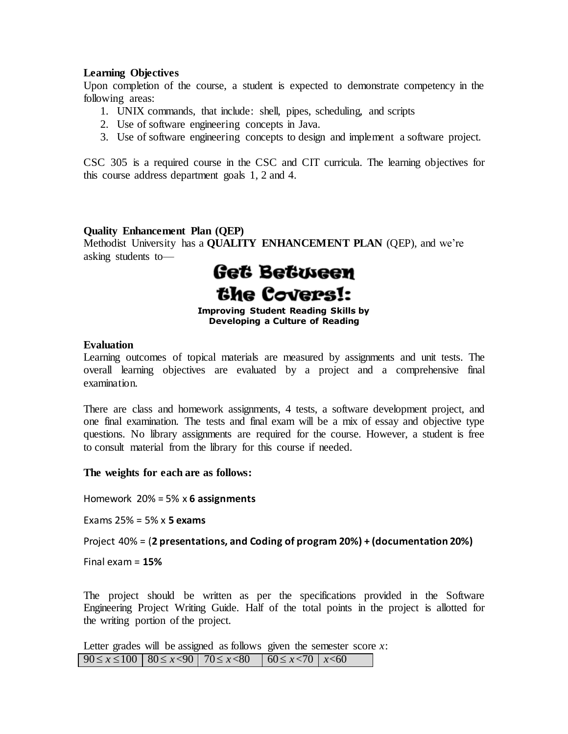### **Learning Objectives**

Upon completion of the course, a student is expected to demonstrate competency in the following areas:

- 1. UNIX commands, that include: shell, pipes, scheduling, and scripts
- 2. Use of software engineering concepts in Java.
- 3. Use of software engineering concepts to design and implement a software project.

CSC 305 is a required course in the CSC and CIT curricula. The learning objectives for this course address department goals 1, 2 and 4.

### **Quality Enhancement Plan (QEP)**

Methodist University has a **QUALITY ENHANCEMENT PLAN** (QEP), and we're asking students to—



**Improving Student Reading Skills by Developing a Culture of Reading**

### **Evaluation**

Learning outcomes of topical materials are measured by assignments and unit tests. The overall learning objectives are evaluated by a project and a comprehensive final examination.

There are class and homework assignments, 4 tests, a software development project, and one final examination. The tests and final exam will be a mix of essay and objective type questions. No library assignments are required for the course. However, a student is free to consult material from the library for this course if needed.

**The weights for each are as follows:**

Homework 20% = 5% x **6 assignments**

Exams 25% = 5% x **5 exams**

Project 40% = (**2 presentations, and Coding of program 20%) + (documentation 20%)**

Final exam = **15%**

The project should be written as per the specifications provided in the Software Engineering Project Writing Guide. Half of the total points in the project is allotted for the writing portion of the project.

Letter grades will be assigned as follows given the semester score *x*:  $90 \le x \le 100$  80  $\le x < 90$  70  $\le x < 80$  60  $\le x < 70$   $\le x < 60$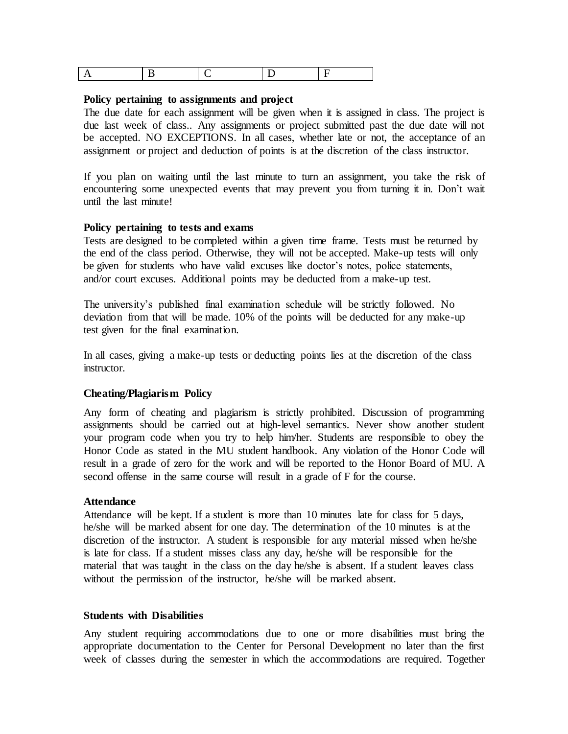|--|--|--|--|--|

### **Policy pertaining to assignments and project**

The due date for each assignment will be given when it is assigned in class. The project is due last week of class.. Any assignments or project submitted past the due date will not be accepted. NO EXCEPTIONS. In all cases, whether late or not, the acceptance of an assignment or project and deduction of points is at the discretion of the class instructor.

If you plan on waiting until the last minute to turn an assignment, you take the risk of encountering some unexpected events that may prevent you from turning it in. Don't wait until the last minute!

### **Policy pertaining to tests and exams**

Tests are designed to be completed within a given time frame. Tests must be returned by the end of the class period. Otherwise, they will not be accepted. Make-up tests will only be given for students who have valid excuses like doctor's notes, police statements, and/or court excuses. Additional points may be deducted from a make-up test.

The university's published final examination schedule will be strictly followed. No deviation from that will be made. 10% of the points will be deducted for any make-up test given for the final examination.

In all cases, giving a make-up tests or deducting points lies at the discretion of the class instructor.

### **Cheating/Plagiarism Policy**

Any form of cheating and plagiarism is strictly prohibited. Discussion of programming assignments should be carried out at high-level semantics. Never show another student your program code when you try to help him/her. Students are responsible to obey the Honor Code as stated in the MU student handbook. Any violation of the Honor Code will result in a grade of zero for the work and will be reported to the Honor Board of MU. A second offense in the same course will result in a grade of F for the course.

### **Attendance**

Attendance will be kept. If a student is more than 10 minutes late for class for 5 days, he/she will be marked absent for one day. The determination of the 10 minutes is at the discretion of the instructor. A student is responsible for any material missed when he/she is late for class. If a student misses class any day, he/she will be responsible for the material that was taught in the class on the day he/she is absent. If a student leaves class without the permission of the instructor, he/she will be marked absent.

### **Students with Disabilities**

Any student requiring accommodations due to one or more disabilities must bring the appropriate documentation to the Center for Personal Development no later than the first week of classes during the semester in which the accommodations are required. Together